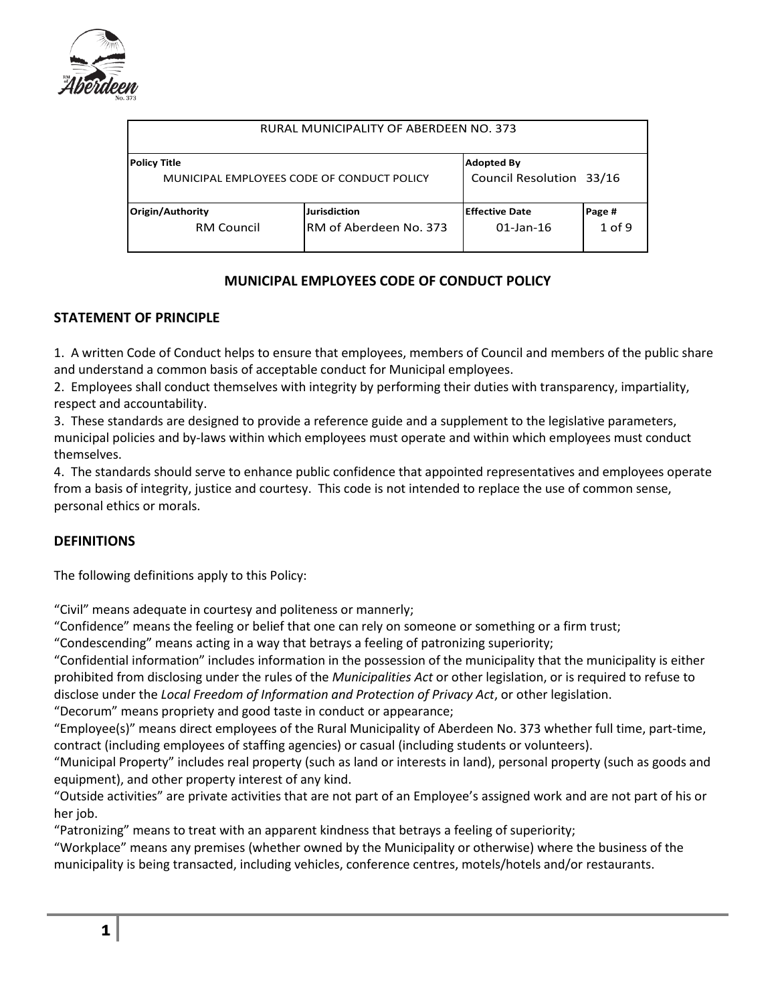

| RURAL MUNICIPALITY OF ABERDEEN NO. 373     |                        |                          |          |
|--------------------------------------------|------------------------|--------------------------|----------|
| <b>Policy Title</b>                        |                        | <b>Adopted By</b>        |          |
| MUNICIPAL EMPLOYEES CODE OF CONDUCT POLICY |                        | Council Resolution 33/16 |          |
| Origin/Authority                           | <b>Jurisdiction</b>    | <b>Effective Date</b>    | Page #   |
| <b>RM Council</b>                          | RM of Aberdeen No. 373 | $01$ -Jan-16             | $1$ of 9 |

### **MUNICIPAL EMPLOYEES CODE OF CONDUCT POLICY**

### **STATEMENT OF PRINCIPLE**

1. A written Code of Conduct helps to ensure that employees, members of Council and members of the public share and understand a common basis of acceptable conduct for Municipal employees.

2. Employees shall conduct themselves with integrity by performing their duties with transparency, impartiality, respect and accountability.

3. These standards are designed to provide a reference guide and a supplement to the legislative parameters, municipal policies and by-laws within which employees must operate and within which employees must conduct themselves.

4. The standards should serve to enhance public confidence that appointed representatives and employees operate from a basis of integrity, justice and courtesy. This code is not intended to replace the use of common sense, personal ethics or morals.

### **DEFINITIONS**

The following definitions apply to this Policy:

"Civil" means adequate in courtesy and politeness or mannerly;

"Confidence" means the feeling or belief that one can rely on someone or something or a firm trust;

"Condescending" means acting in a way that betrays a feeling of patronizing superiority;

"Confidential information" includes information in the possession of the municipality that the municipality is either prohibited from disclosing under the rules of the *Municipalities Act* or other legislation, or is required to refuse to disclose under the *Local Freedom of Information and Protection of Privacy Act*, or other legislation.

"Decorum" means propriety and good taste in conduct or appearance;

"Employee(s)" means direct employees of the Rural Municipality of Aberdeen No. 373 whether full time, part-time, contract (including employees of staffing agencies) or casual (including students or volunteers).

"Municipal Property" includes real property (such as land or interests in land), personal property (such as goods and equipment), and other property interest of any kind.

"Outside activities" are private activities that are not part of an Employee's assigned work and are not part of his or her job.

"Patronizing" means to treat with an apparent kindness that betrays a feeling of superiority;

"Workplace" means any premises (whether owned by the Municipality or otherwise) where the business of the municipality is being transacted, including vehicles, conference centres, motels/hotels and/or restaurants.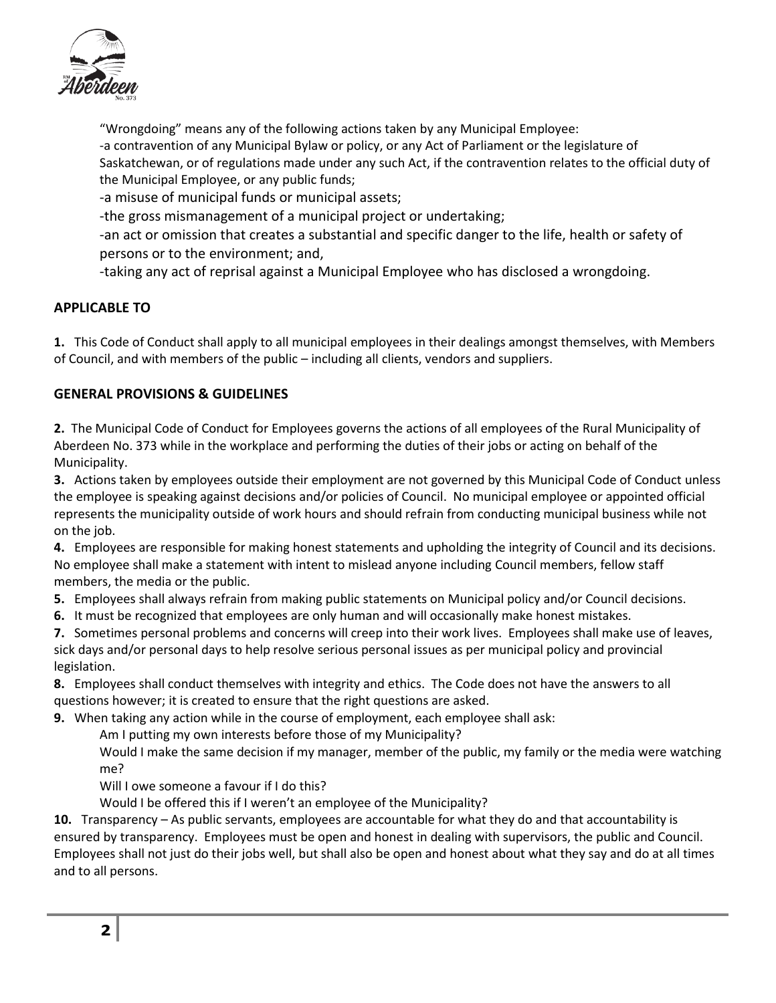

"Wrongdoing" means any of the following actions taken by any Municipal Employee: -a contravention of any Municipal Bylaw or policy, or any Act of Parliament or the legislature of Saskatchewan, or of regulations made under any such Act, if the contravention relates to the official duty of the Municipal Employee, or any public funds;

-a misuse of municipal funds or municipal assets;

-the gross mismanagement of a municipal project or undertaking;

-an act or omission that creates a substantial and specific danger to the life, health or safety of persons or to the environment; and,

-taking any act of reprisal against a Municipal Employee who has disclosed a wrongdoing.

# **APPLICABLE TO**

**1.** This Code of Conduct shall apply to all municipal employees in their dealings amongst themselves, with Members of Council, and with members of the public – including all clients, vendors and suppliers.

# **GENERAL PROVISIONS & GUIDELINES**

**2.** The Municipal Code of Conduct for Employees governs the actions of all employees of the Rural Municipality of Aberdeen No. 373 while in the workplace and performing the duties of their jobs or acting on behalf of the Municipality.

**3.** Actions taken by employees outside their employment are not governed by this Municipal Code of Conduct unless the employee is speaking against decisions and/or policies of Council. No municipal employee or appointed official represents the municipality outside of work hours and should refrain from conducting municipal business while not on the job.

**4.** Employees are responsible for making honest statements and upholding the integrity of Council and its decisions. No employee shall make a statement with intent to mislead anyone including Council members, fellow staff members, the media or the public.

- **5.** Employees shall always refrain from making public statements on Municipal policy and/or Council decisions.
- **6.** It must be recognized that employees are only human and will occasionally make honest mistakes.

**7.** Sometimes personal problems and concerns will creep into their work lives. Employees shall make use of leaves, sick days and/or personal days to help resolve serious personal issues as per municipal policy and provincial legislation.

**8.** Employees shall conduct themselves with integrity and ethics. The Code does not have the answers to all questions however; it is created to ensure that the right questions are asked.

**9.** When taking any action while in the course of employment, each employee shall ask:

Am I putting my own interests before those of my Municipality?

Would I make the same decision if my manager, member of the public, my family or the media were watching me?

Will I owe someone a favour if I do this?

Would I be offered this if I weren't an employee of the Municipality?

**10.** Transparency – As public servants, employees are accountable for what they do and that accountability is ensured by transparency. Employees must be open and honest in dealing with supervisors, the public and Council. Employees shall not just do their jobs well, but shall also be open and honest about what they say and do at all times and to all persons.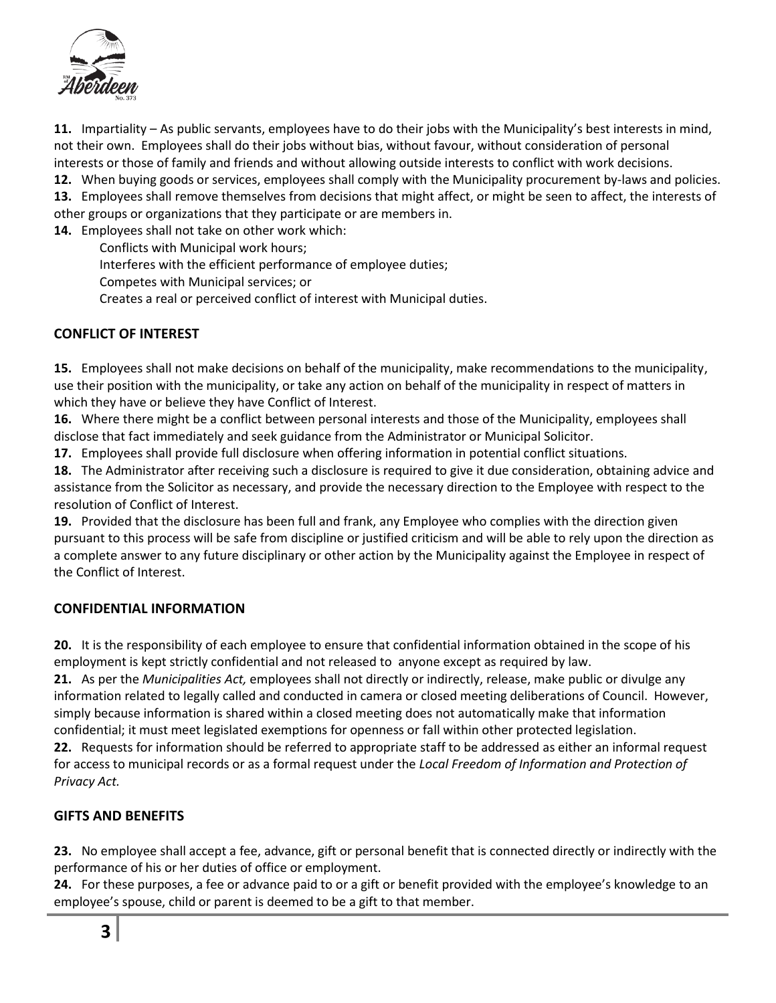

**11.** Impartiality – As public servants, employees have to do their jobs with the Municipality's best interests in mind, not their own. Employees shall do their jobs without bias, without favour, without consideration of personal interests or those of family and friends and without allowing outside interests to conflict with work decisions.

**12.** When buying goods or services, employees shall comply with the Municipality procurement by-laws and policies. **13.** Employees shall remove themselves from decisions that might affect, or might be seen to affect, the interests of other groups or organizations that they participate or are members in.

**14.** Employees shall not take on other work which:

Conflicts with Municipal work hours;

Interferes with the efficient performance of employee duties;

Competes with Municipal services; or

Creates a real or perceived conflict of interest with Municipal duties.

### **CONFLICT OF INTEREST**

**15.** Employees shall not make decisions on behalf of the municipality, make recommendations to the municipality, use their position with the municipality, or take any action on behalf of the municipality in respect of matters in which they have or believe they have Conflict of Interest.

**16.** Where there might be a conflict between personal interests and those of the Municipality, employees shall disclose that fact immediately and seek guidance from the Administrator or Municipal Solicitor.

**17.** Employees shall provide full disclosure when offering information in potential conflict situations.

**18.** The Administrator after receiving such a disclosure is required to give it due consideration, obtaining advice and assistance from the Solicitor as necessary, and provide the necessary direction to the Employee with respect to the resolution of Conflict of Interest.

**19.** Provided that the disclosure has been full and frank, any Employee who complies with the direction given pursuant to this process will be safe from discipline or justified criticism and will be able to rely upon the direction as a complete answer to any future disciplinary or other action by the Municipality against the Employee in respect of the Conflict of Interest.

### **CONFIDENTIAL INFORMATION**

**20.** It is the responsibility of each employee to ensure that confidential information obtained in the scope of his employment is kept strictly confidential and not released to anyone except as required by law.

**21.** As per the *Municipalities Act,* employees shall not directly or indirectly, release, make public or divulge any information related to legally called and conducted in camera or closed meeting deliberations of Council. However, simply because information is shared within a closed meeting does not automatically make that information confidential; it must meet legislated exemptions for openness or fall within other protected legislation.

**22.** Requests for information should be referred to appropriate staff to be addressed as either an informal request for access to municipal records or as a formal request under the *Local Freedom of Information and Protection of Privacy Act.*

# **GIFTS AND BENEFITS**

**23.** No employee shall accept a fee, advance, gift or personal benefit that is connected directly or indirectly with the performance of his or her duties of office or employment.

**24.** For these purposes, a fee or advance paid to or a gift or benefit provided with the employee's knowledge to an employee's spouse, child or parent is deemed to be a gift to that member.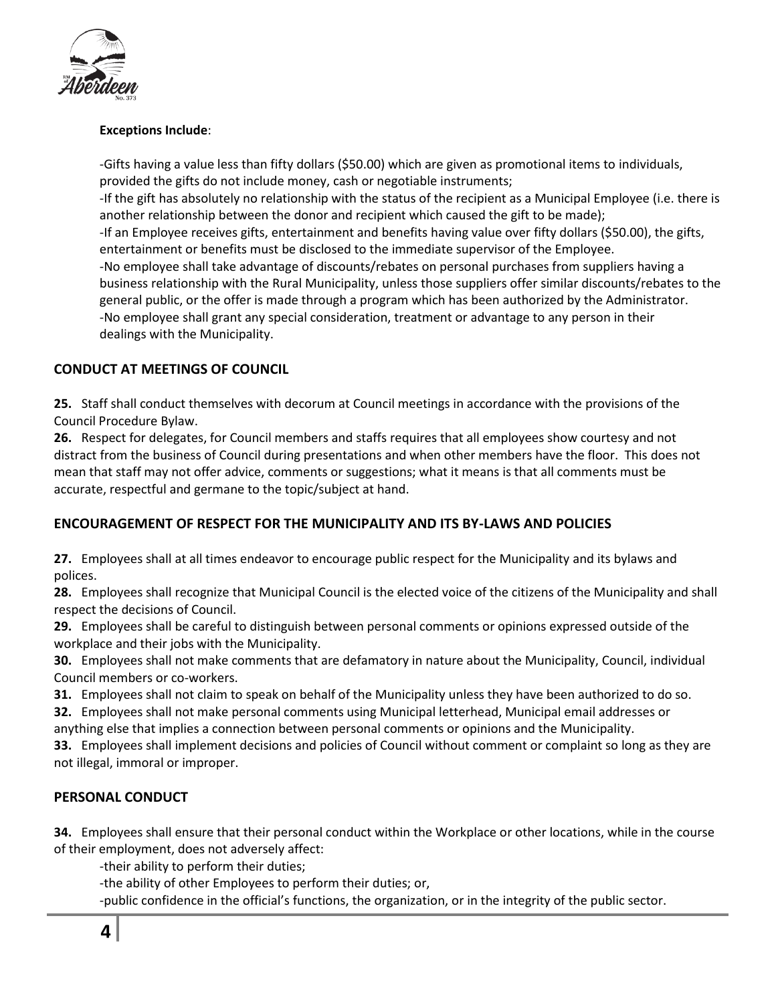

#### **Exceptions Include**:

-Gifts having a value less than fifty dollars (\$50.00) which are given as promotional items to individuals, provided the gifts do not include money, cash or negotiable instruments; -If the gift has absolutely no relationship with the status of the recipient as a Municipal Employee (i.e. there is

another relationship between the donor and recipient which caused the gift to be made); -If an Employee receives gifts, entertainment and benefits having value over fifty dollars (\$50.00), the gifts, entertainment or benefits must be disclosed to the immediate supervisor of the Employee. -No employee shall take advantage of discounts/rebates on personal purchases from suppliers having a business relationship with the Rural Municipality, unless those suppliers offer similar discounts/rebates to the general public, or the offer is made through a program which has been authorized by the Administrator.

-No employee shall grant any special consideration, treatment or advantage to any person in their dealings with the Municipality.

# **CONDUCT AT MEETINGS OF COUNCIL**

**25.** Staff shall conduct themselves with decorum at Council meetings in accordance with the provisions of the Council Procedure Bylaw.

**26.** Respect for delegates, for Council members and staffs requires that all employees show courtesy and not distract from the business of Council during presentations and when other members have the floor. This does not mean that staff may not offer advice, comments or suggestions; what it means is that all comments must be accurate, respectful and germane to the topic/subject at hand.

# **ENCOURAGEMENT OF RESPECT FOR THE MUNICIPALITY AND ITS BY-LAWS AND POLICIES**

**27.** Employees shall at all times endeavor to encourage public respect for the Municipality and its bylaws and polices.

**28.** Employees shall recognize that Municipal Council is the elected voice of the citizens of the Municipality and shall respect the decisions of Council.

**29.** Employees shall be careful to distinguish between personal comments or opinions expressed outside of the workplace and their jobs with the Municipality.

**30.** Employees shall not make comments that are defamatory in nature about the Municipality, Council, individual Council members or co-workers.

**31.** Employees shall not claim to speak on behalf of the Municipality unless they have been authorized to do so.

**32.** Employees shall not make personal comments using Municipal letterhead, Municipal email addresses or anything else that implies a connection between personal comments or opinions and the Municipality.

**33.** Employees shall implement decisions and policies of Council without comment or complaint so long as they are not illegal, immoral or improper.

# **PERSONAL CONDUCT**

**34.** Employees shall ensure that their personal conduct within the Workplace or other locations, while in the course of their employment, does not adversely affect:

-their ability to perform their duties;

-the ability of other Employees to perform their duties; or,

-public confidence in the official's functions, the organization, or in the integrity of the public sector.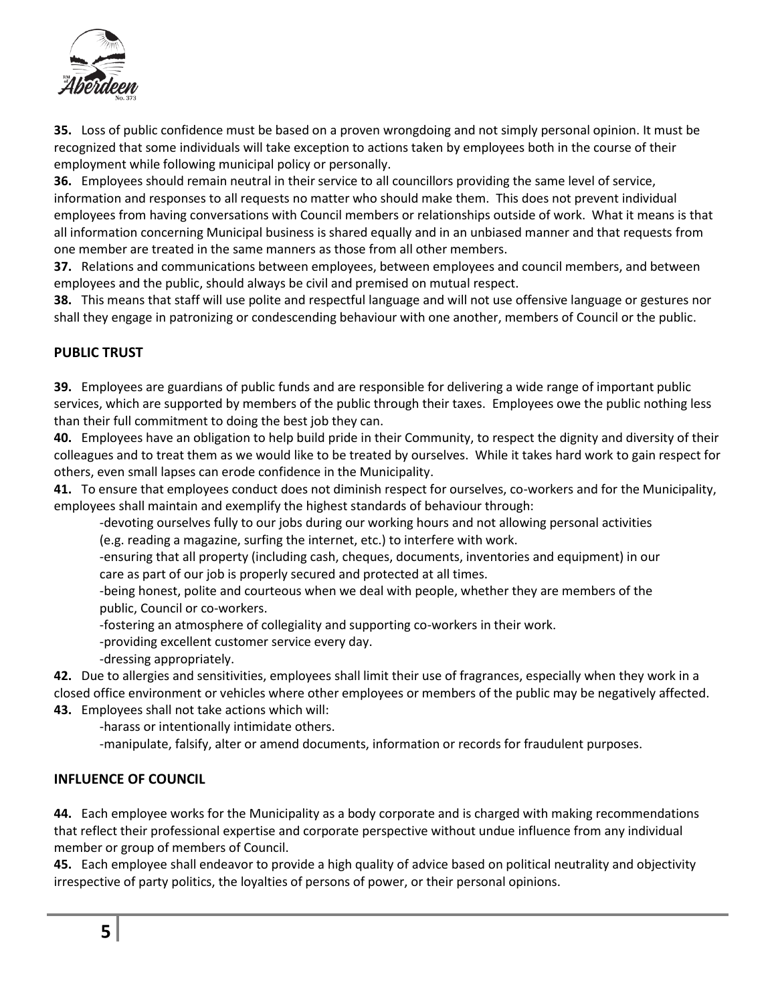

**35.** Loss of public confidence must be based on a proven wrongdoing and not simply personal opinion. It must be recognized that some individuals will take exception to actions taken by employees both in the course of their employment while following municipal policy or personally.

**36.** Employees should remain neutral in their service to all councillors providing the same level of service, information and responses to all requests no matter who should make them. This does not prevent individual employees from having conversations with Council members or relationships outside of work. What it means is that all information concerning Municipal business is shared equally and in an unbiased manner and that requests from one member are treated in the same manners as those from all other members.

**37.** Relations and communications between employees, between employees and council members, and between employees and the public, should always be civil and premised on mutual respect.

**38.** This means that staff will use polite and respectful language and will not use offensive language or gestures nor shall they engage in patronizing or condescending behaviour with one another, members of Council or the public.

### **PUBLIC TRUST**

**39.** Employees are guardians of public funds and are responsible for delivering a wide range of important public services, which are supported by members of the public through their taxes. Employees owe the public nothing less than their full commitment to doing the best job they can.

**40.** Employees have an obligation to help build pride in their Community, to respect the dignity and diversity of their colleagues and to treat them as we would like to be treated by ourselves. While it takes hard work to gain respect for others, even small lapses can erode confidence in the Municipality.

**41.** To ensure that employees conduct does not diminish respect for ourselves, co-workers and for the Municipality, employees shall maintain and exemplify the highest standards of behaviour through:

-devoting ourselves fully to our jobs during our working hours and not allowing personal activities (e.g. reading a magazine, surfing the internet, etc.) to interfere with work.

-ensuring that all property (including cash, cheques, documents, inventories and equipment) in our care as part of our job is properly secured and protected at all times.

-being honest, polite and courteous when we deal with people, whether they are members of the public, Council or co-workers.

-fostering an atmosphere of collegiality and supporting co-workers in their work.

-providing excellent customer service every day.

-dressing appropriately.

**42.** Due to allergies and sensitivities, employees shall limit their use of fragrances, especially when they work in a closed office environment or vehicles where other employees or members of the public may be negatively affected. **43.** Employees shall not take actions which will:

-harass or intentionally intimidate others.

-manipulate, falsify, alter or amend documents, information or records for fraudulent purposes.

### **INFLUENCE OF COUNCIL**

**44.** Each employee works for the Municipality as a body corporate and is charged with making recommendations that reflect their professional expertise and corporate perspective without undue influence from any individual member or group of members of Council.

**45.** Each employee shall endeavor to provide a high quality of advice based on political neutrality and objectivity irrespective of party politics, the loyalties of persons of power, or their personal opinions.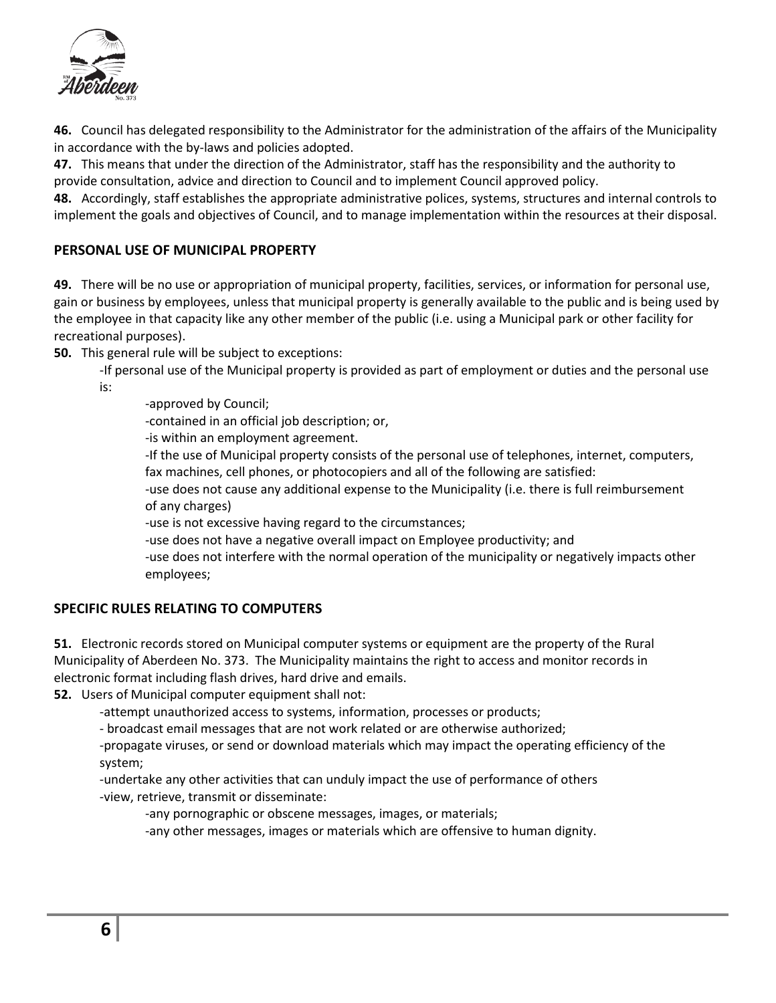

**46.** Council has delegated responsibility to the Administrator for the administration of the affairs of the Municipality in accordance with the by-laws and policies adopted.

**47.** This means that under the direction of the Administrator, staff has the responsibility and the authority to provide consultation, advice and direction to Council and to implement Council approved policy.

**48.** Accordingly, staff establishes the appropriate administrative polices, systems, structures and internal controls to implement the goals and objectives of Council, and to manage implementation within the resources at their disposal.

### **PERSONAL USE OF MUNICIPAL PROPERTY**

**49.** There will be no use or appropriation of municipal property, facilities, services, or information for personal use, gain or business by employees, unless that municipal property is generally available to the public and is being used by the employee in that capacity like any other member of the public (i.e. using a Municipal park or other facility for recreational purposes).

**50.** This general rule will be subject to exceptions:

-If personal use of the Municipal property is provided as part of employment or duties and the personal use is:

-approved by Council;

-contained in an official job description; or,

-is within an employment agreement.

-If the use of Municipal property consists of the personal use of telephones, internet, computers, fax machines, cell phones, or photocopiers and all of the following are satisfied:

-use does not cause any additional expense to the Municipality (i.e. there is full reimbursement of any charges)

-use is not excessive having regard to the circumstances;

-use does not have a negative overall impact on Employee productivity; and

-use does not interfere with the normal operation of the municipality or negatively impacts other employees;

### **SPECIFIC RULES RELATING TO COMPUTERS**

**51.** Electronic records stored on Municipal computer systems or equipment are the property of the Rural Municipality of Aberdeen No. 373. The Municipality maintains the right to access and monitor records in electronic format including flash drives, hard drive and emails.

**52.** Users of Municipal computer equipment shall not:

-attempt unauthorized access to systems, information, processes or products;

- broadcast email messages that are not work related or are otherwise authorized;

-propagate viruses, or send or download materials which may impact the operating efficiency of the system;

-undertake any other activities that can unduly impact the use of performance of others -view, retrieve, transmit or disseminate:

-any pornographic or obscene messages, images, or materials;

-any other messages, images or materials which are offensive to human dignity.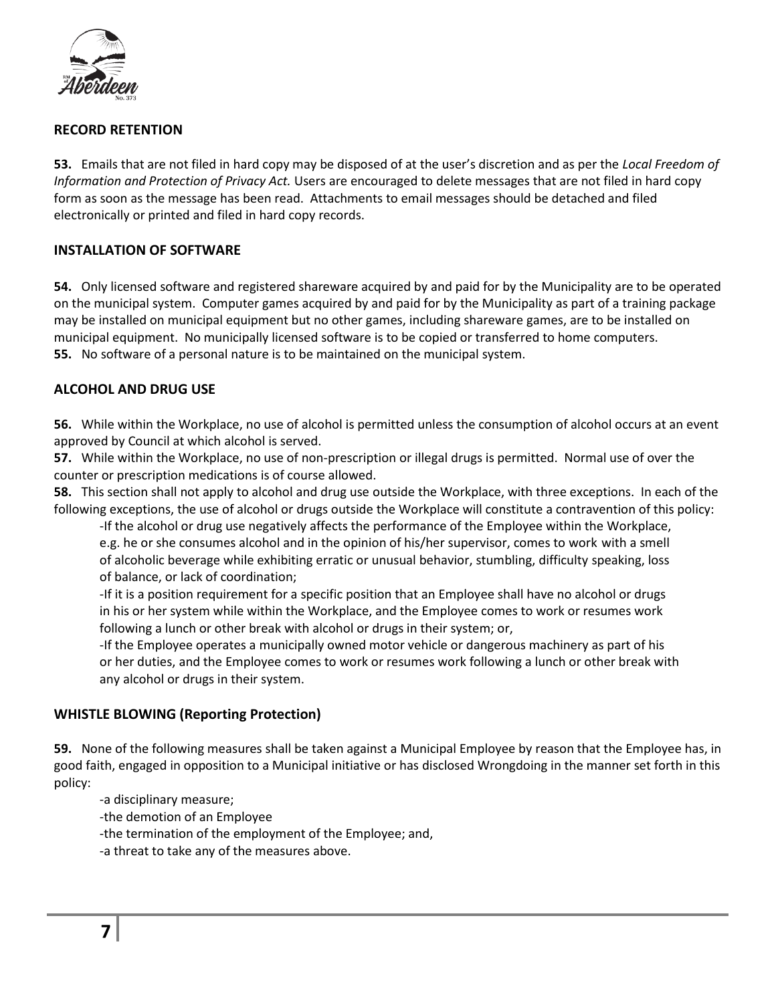

#### **RECORD RETENTION**

**53.** Emails that are not filed in hard copy may be disposed of at the user's discretion and as per the *Local Freedom of Information and Protection of Privacy Act.* Users are encouraged to delete messages that are not filed in hard copy form as soon as the message has been read. Attachments to email messages should be detached and filed electronically or printed and filed in hard copy records.

#### **INSTALLATION OF SOFTWARE**

**54.** Only licensed software and registered shareware acquired by and paid for by the Municipality are to be operated on the municipal system. Computer games acquired by and paid for by the Municipality as part of a training package may be installed on municipal equipment but no other games, including shareware games, are to be installed on municipal equipment. No municipally licensed software is to be copied or transferred to home computers. **55.** No software of a personal nature is to be maintained on the municipal system.

#### **ALCOHOL AND DRUG USE**

**56.** While within the Workplace, no use of alcohol is permitted unless the consumption of alcohol occurs at an event approved by Council at which alcohol is served.

**57.** While within the Workplace, no use of non-prescription or illegal drugs is permitted. Normal use of over the counter or prescription medications is of course allowed.

**58.** This section shall not apply to alcohol and drug use outside the Workplace, with three exceptions. In each of the following exceptions, the use of alcohol or drugs outside the Workplace will constitute a contravention of this policy:

-If the alcohol or drug use negatively affects the performance of the Employee within the Workplace, e.g. he or she consumes alcohol and in the opinion of his/her supervisor, comes to work with a smell of alcoholic beverage while exhibiting erratic or unusual behavior, stumbling, difficulty speaking, loss of balance, or lack of coordination;

-If it is a position requirement for a specific position that an Employee shall have no alcohol or drugs in his or her system while within the Workplace, and the Employee comes to work or resumes work following a lunch or other break with alcohol or drugs in their system; or,

-If the Employee operates a municipally owned motor vehicle or dangerous machinery as part of his or her duties, and the Employee comes to work or resumes work following a lunch or other break with any alcohol or drugs in their system.

### **WHISTLE BLOWING (Reporting Protection)**

**59.** None of the following measures shall be taken against a Municipal Employee by reason that the Employee has, in good faith, engaged in opposition to a Municipal initiative or has disclosed Wrongdoing in the manner set forth in this policy:

-a disciplinary measure;

-the demotion of an Employee

-the termination of the employment of the Employee; and,

-a threat to take any of the measures above.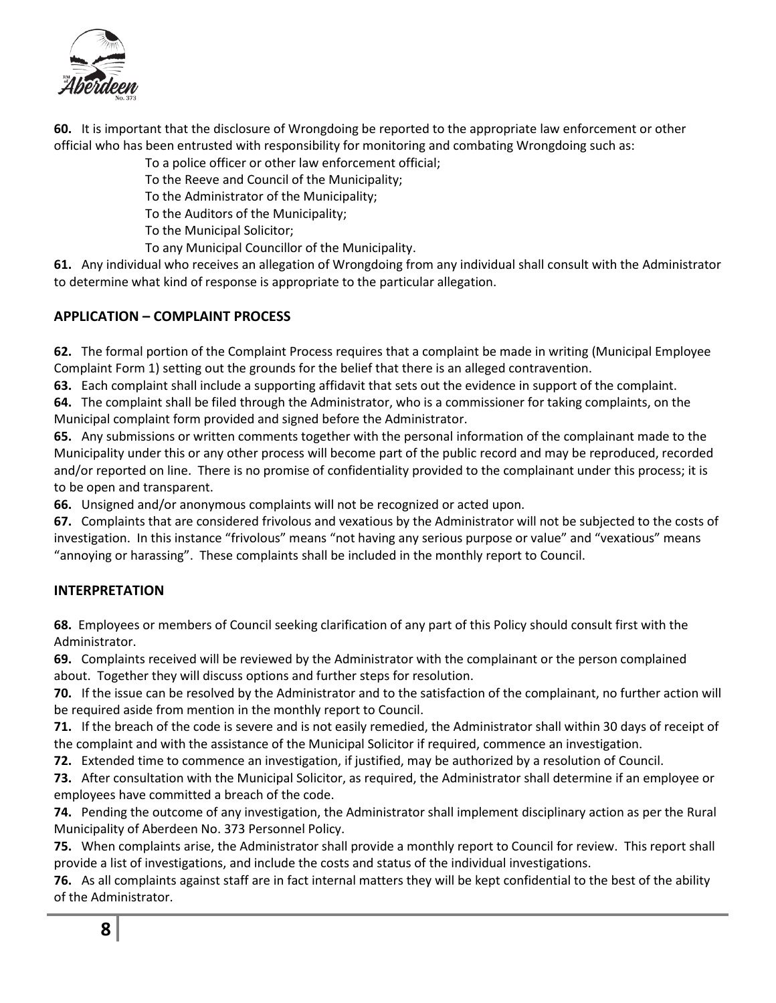

**60.** It is important that the disclosure of Wrongdoing be reported to the appropriate law enforcement or other official who has been entrusted with responsibility for monitoring and combating Wrongdoing such as:

To a police officer or other law enforcement official;

To the Reeve and Council of the Municipality;

To the Administrator of the Municipality;

To the Auditors of the Municipality;

To the Municipal Solicitor;

To any Municipal Councillor of the Municipality.

**61.** Any individual who receives an allegation of Wrongdoing from any individual shall consult with the Administrator to determine what kind of response is appropriate to the particular allegation.

# **APPLICATION – COMPLAINT PROCESS**

**62.** The formal portion of the Complaint Process requires that a complaint be made in writing (Municipal Employee Complaint Form 1) setting out the grounds for the belief that there is an alleged contravention.

**63.** Each complaint shall include a supporting affidavit that sets out the evidence in support of the complaint.

**64.** The complaint shall be filed through the Administrator, who is a commissioner for taking complaints, on the Municipal complaint form provided and signed before the Administrator.

**65.** Any submissions or written comments together with the personal information of the complainant made to the Municipality under this or any other process will become part of the public record and may be reproduced, recorded and/or reported on line. There is no promise of confidentiality provided to the complainant under this process; it is to be open and transparent.

**66.** Unsigned and/or anonymous complaints will not be recognized or acted upon.

**67.** Complaints that are considered frivolous and vexatious by the Administrator will not be subjected to the costs of investigation. In this instance "frivolous" means "not having any serious purpose or value" and "vexatious" means "annoying or harassing". These complaints shall be included in the monthly report to Council.

# **INTERPRETATION**

**68.** Employees or members of Council seeking clarification of any part of this Policy should consult first with the Administrator.

**69.** Complaints received will be reviewed by the Administrator with the complainant or the person complained about. Together they will discuss options and further steps for resolution.

**70.** If the issue can be resolved by the Administrator and to the satisfaction of the complainant, no further action will be required aside from mention in the monthly report to Council.

**71.** If the breach of the code is severe and is not easily remedied, the Administrator shall within 30 days of receipt of the complaint and with the assistance of the Municipal Solicitor if required, commence an investigation.

**72.** Extended time to commence an investigation, if justified, may be authorized by a resolution of Council.

**73.** After consultation with the Municipal Solicitor, as required, the Administrator shall determine if an employee or employees have committed a breach of the code.

**74.** Pending the outcome of any investigation, the Administrator shall implement disciplinary action as per the Rural Municipality of Aberdeen No. 373 Personnel Policy.

**75.** When complaints arise, the Administrator shall provide a monthly report to Council for review. This report shall provide a list of investigations, and include the costs and status of the individual investigations.

**76.** As all complaints against staff are in fact internal matters they will be kept confidential to the best of the ability of the Administrator.